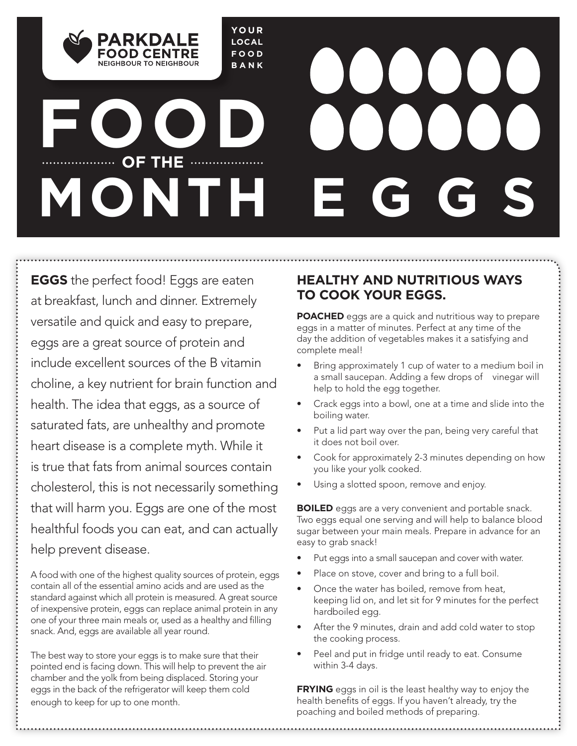**YOUR LOCAL FOOD BANK**

# **FOOD OF THE MONTH**

NEIGHROUR TO NEIGHROUR

**EGGS** the perfect food! Eggs are eaten at breakfast, lunch and dinner. Extremely versatile and quick and easy to prepare, eggs are a great source of protein and include excellent sources of the B vitamin choline, a key nutrient for brain function and health. The idea that eggs, as a source of saturated fats, are unhealthy and promote heart disease is a complete myth. While it is true that fats from animal sources contain cholesterol, this is not necessarily something that will harm you. Eggs are one of the most healthful foods you can eat, and can actually help prevent disease.

A food with one of the highest quality sources of protein, eggs contain all of the essential amino acids and are used as the standard against which all protein is measured. A great source of inexpensive protein, eggs can replace animal protein in any one of your three main meals or, used as a healthy and filling snack. And, eggs are available all year round.

The best way to store your eggs is to make sure that their pointed end is facing down. This will help to prevent the air chamber and the yolk from being displaced. Storing your eggs in the back of the refrigerator will keep them cold enough to keep for up to one month.

## **HEALTHY AND NUTRITIOUS WAYS TO COOK YOUR EGGS.**

**POACHED** eggs are a quick and nutritious way to prepare eggs in a matter of minutes. Perfect at any time of the day the addition of vegetables makes it a satisfying and complete meal!

- Bring approximately 1 cup of water to a medium boil in a small saucepan. Adding a few drops of vinegar will help to hold the egg together.
- Crack eggs into a bowl, one at a time and slide into the boiling water.
- Put a lid part way over the pan, being very careful that it does not boil over.
- Cook for approximately 2-3 minutes depending on how you like your yolk cooked.
- Using a slotted spoon, remove and enjoy.

**BOILED** eggs are a very convenient and portable snack. Two eggs equal one serving and will help to balance blood sugar between your main meals. Prepare in advance for an easy to grab snack!

- Put eggs into a small saucepan and cover with water.
- Place on stove, cover and bring to a full boil.
- Once the water has boiled, remove from heat, keeping lid on, and let sit for 9 minutes for the perfect hardboiled egg.
- After the 9 minutes, drain and add cold water to stop the cooking process.
- Peel and put in fridge until ready to eat. Consume within 3-4 days.

**FRYING** eggs in oil is the least healthy way to enjoy the health benefits of eggs. If you haven't already, try the poaching and boiled methods of preparing.